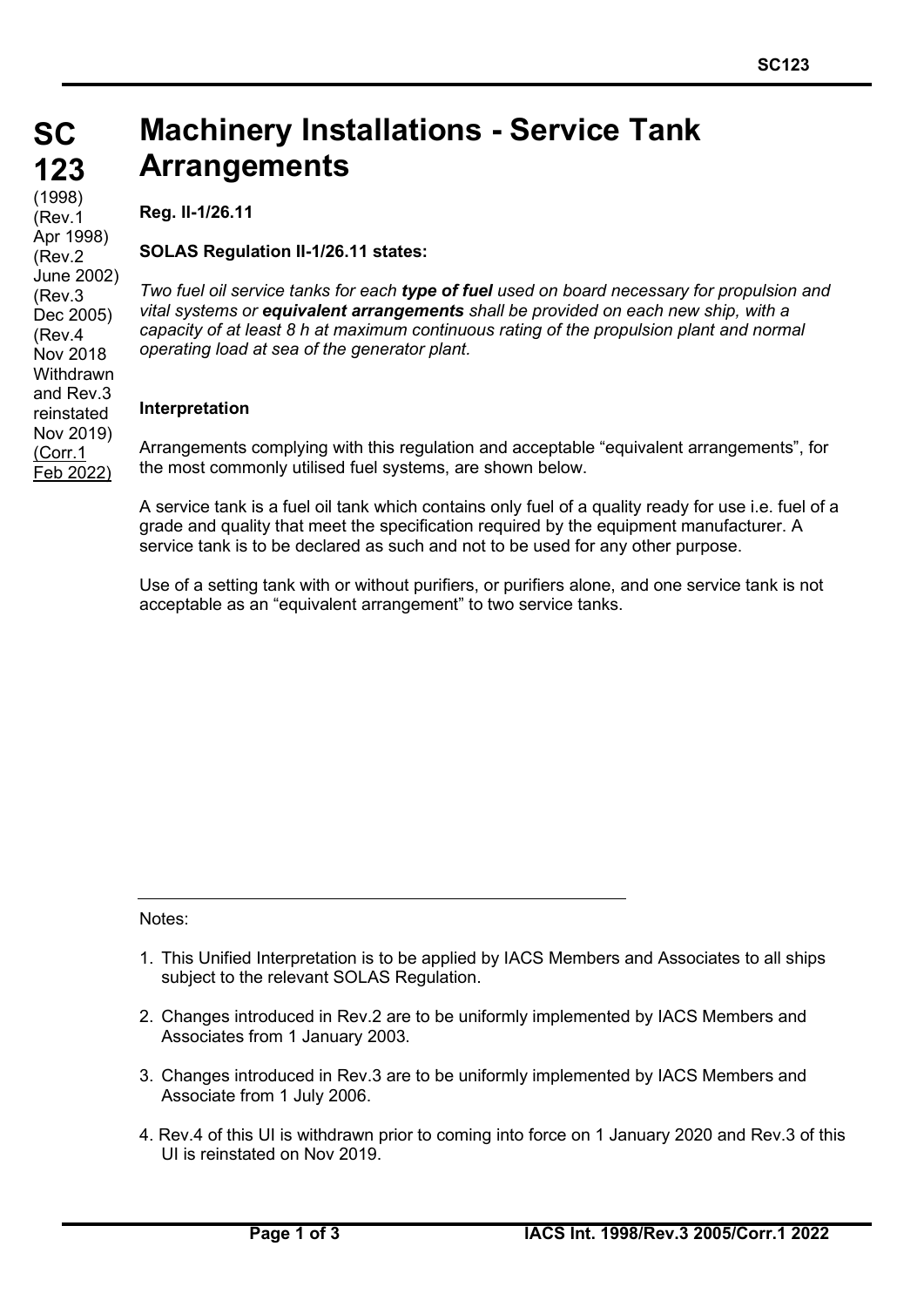#### **SC SC 123 123** (1998) (Rev.1 Apr 1998) (Rev.2 June 2002) (Rev.3 Dec 2005) (Rev.4 Nov 2018 **Withdrawn** and Rev.3 reinstated Nov 2019) (Corr.1 Feb 2022)

# **Machinery Installations - Service Tank Arrangements**

**Reg. II-1/26.11**

## **SOLAS Regulation II-1/26.11 states:**

*Two fuel oil service tanks for each type of fuel used on board necessary for propulsion and vital systems or equivalent arrangements shall be provided on each new ship, with a capacity of at least 8 h at maximum continuous rating of the propulsion plant and normal operating load at sea of the generator plant.*

### **Interpretation**

Arrangements complying with this regulation and acceptable "equivalent arrangements", for the most commonly utilised fuel systems, are shown below.

A service tank is a fuel oil tank which contains only fuel of a quality ready for use i.e. fuel of a grade and quality that meet the specification required by the equipment manufacturer. A service tank is to be declared as such and not to be used for any other purpose.

Use of a setting tank with or without purifiers, or purifiers alone, and one service tank is not acceptable as an "equivalent arrangement" to two service tanks.

Notes:

- 1. This Unified Interpretation is to be applied by IACS Members and Associates to all ships subject to the relevant SOLAS Regulation.
- 2. Changes introduced in Rev.2 are to be uniformly implemented by IACS Members and Associates from 1 January 2003.
- 3. Changes introduced in Rev.3 are to be uniformly implemented by IACS Members and Associate from 1 July 2006.
- 4. Rev.4 of this UI is withdrawn prior to coming into force on 1 January 2020 and Rev.3 of this UI is reinstated on Nov 2019.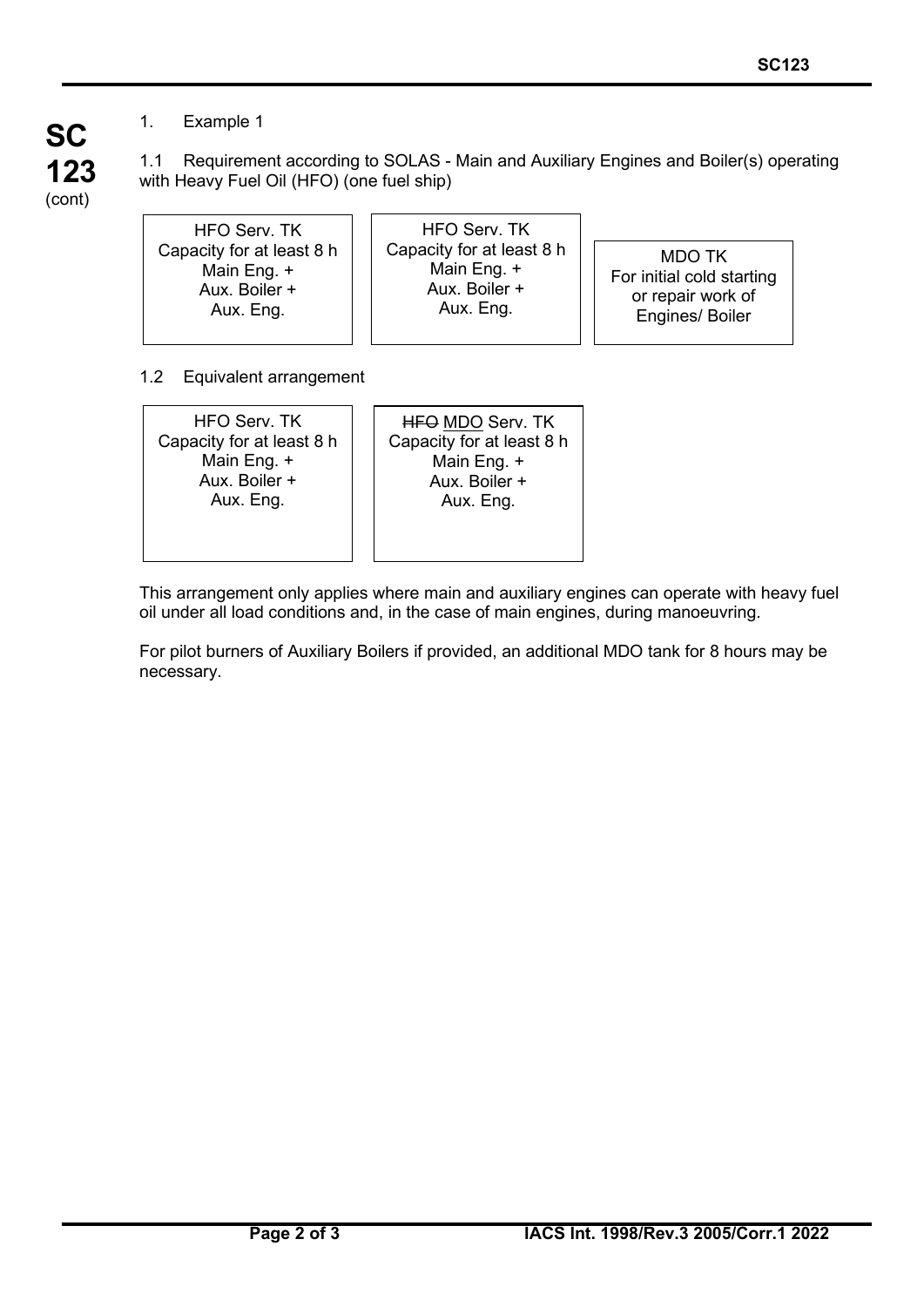#### 1. Example 1

**SC 123** (cont) 1.1 Requirement according to SOLAS - Main and Auxiliary Engines and Boiler(s) operating with Heavy Fuel Oil (HFO) (one fuel ship)

> HFO Serv. TK Capacity for at least 8 h Main Eng. + Aux. Boiler + Aux. Eng.

HFO Serv. TK Capacity for at least 8 h Main Eng. + Aux. Boiler + Aux. Eng.

MDO TK For initial cold starting or repair work of Engines/ Boiler

1.2 Equivalent arrangement

HFO Serv. TK Capacity for at least 8 h Main Eng. + Aux. Boiler + Aux. Eng.

**HFO MDO Serv. TK** Capacity for at least 8 h Main Eng. + Aux. Boiler + Aux. Eng.

This arrangement only applies where main and auxiliary engines can operate with heavy fuel oil under all load conditions and, in the case of main engines, during manoeuvring.

For pilot burners of Auxiliary Boilers if provided, an additional MDO tank for 8 hours may be necessary.